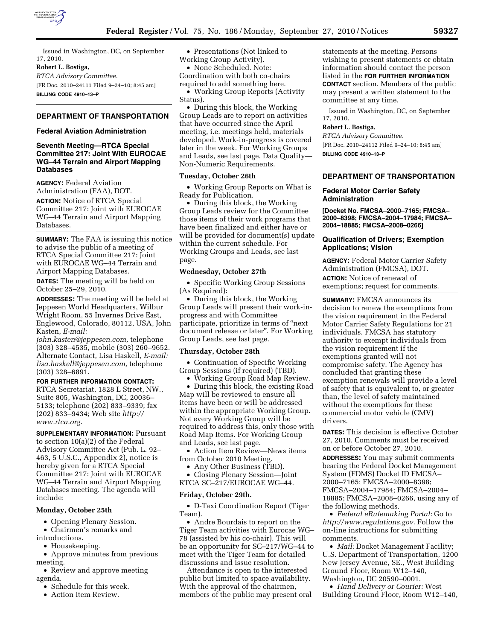

Issued in Washington, DC, on September 17, 2010.

**Robert L. Bostiga,** 

*RTCA Advisory Committee.*  [FR Doc. 2010–24111 Filed 9–24–10; 8:45 am] **BILLING CODE 4910–13–P** 

# **DEPARTMENT OF TRANSPORTATION**

### **Federal Aviation Administration**

# **Seventh Meeting—RTCA Special Committee 217: Joint With EUROCAE WG–44 Terrain and Airport Mapping Databases**

**AGENCY:** Federal Aviation Administration (FAA), DOT.

**ACTION:** Notice of RTCA Special Committee 217: Joint with EUROCAE WG–44 Terrain and Airport Mapping Databases.

**SUMMARY:** The FAA is issuing this notice to advise the public of a meeting of RTCA Special Committee 217: Joint with EUROCAE WG–44 Terrain and Airport Mapping Databases.

**DATES:** The meeting will be held on October 25–29, 2010.

**ADDRESSES:** The meeting will be held at Jeppesen World Headquarters, Wilbur Wright Room, 55 Invernes Drive East, Englewood, Colorado, 80112, USA, John Kasten, *E-mail:* 

*[john.kasten@jeppesen.com,](mailto:john.kasten@jeppesen.com)* telephone (303) 328–4535, mobile (303) 260–9652. Alternate Contact, Lisa Haskell, *E-mail: [lisa.haskell@jeppesen.com,](mailto:lisa.haskell@jeppesen.com)* telephone (303) 328–6891.

#### **FOR FURTHER INFORMATION CONTACT:**

RTCA Secretariat, 1828 L Street, NW., Suite 805, Washington, DC, 20036– 5133; telephone (202) 833–9339; fax (202) 833–9434; Web site *[http://](http://www.rtca.org)  [www.rtca.org.](http://www.rtca.org)* 

**SUPPLEMENTARY INFORMATION:** Pursuant to section 10(a)(2) of the Federal Advisory Committee Act (Pub. L. 92– 463, 5 U.S.C., Appendix 2), notice is hereby given for a RTCA Special Committee 217: Joint with EUROCAE WG–44 Terrain and Airport Mapping Databases meeting. The agenda will include:

## **Monday, October 25th**

• Opening Plenary Session.

- Chairmen's remarks and
- introductions.
	- Housekeeping.

• Approve minutes from previous meeting.

• Review and approve meeting agenda.

- Schedule for this week.
- Action Item Review.

• Presentations (Not linked to Working Group Activity).

• None Scheduled. Note: Coordination with both co-chairs required to add something here.

• Working Group Reports (Activity Status).

• During this block, the Working Group Leads are to report on activities that have occurred since the April meeting, i.e. meetings held, materials developed. Work-in-progress is covered later in the week. For Working Groups and Leads, see last page. Data Quality— Non-Numeric Requirements.

## **Tuesday, October 26th**

• Working Group Reports on What is Ready for Publication.

• During this block, the Working Group Leads review for the Committee those items of their work programs that have been finalized and either have or will be provided for document(s) update within the current schedule. For Working Groups and Leads, see last page.

#### **Wednesday, October 27th**

• Specific Working Group Sessions (As Required):

• During this block, the Working Group Leads will present their work-inprogress and with Committee participate, prioritize in terms of ''next document release or later''. For Working Group Leads, see last page.

#### **Thursday, October 28th**

• Continuation of Specific Working Group Sessions (if required) (TBD).

• Working Group Road Map Review.

• During this block, the existing Road Map will be reviewed to ensure all items have been or will be addressed within the appropriate Working Group. Not every Working Group will be required to address this, only those with Road Map Items. For Working Group and Leads, see last page.

• Action Item Review—News items from October 2010 Meeting.

• Any Other Business (TBD).

• Closing Plenary Session—Joint RTCA SC–217/EUROCAE WG–44.

#### **Friday, October 29th.**

• D-Taxi Coordination Report (Tiger Team).

• Andre Bourdais to report on the Tiger Team activities with Eurocae WG– 78 (assisted by his co-chair). This will be an opportunity for SC–217/WG–44 to meet with the Tiger Team for detailed discussions and issue resolution.

Attendance is open to the interested public but limited to space availability. With the approval of the chairmen, members of the public may present oral

statements at the meeting. Persons wishing to present statements or obtain information should contact the person listed in the **FOR FURTHER INFORMATION CONTACT** section. Members of the public may present a written statement to the committee at any time.

Issued in Washington, DC, on September 17, 2010.

#### **Robert L. Bostiga,**

*RTCA Advisory Committee.*  [FR Doc. 2010–24112 Filed 9–24–10; 8:45 am] **BILLING CODE 4910–13–P** 

### **DEPARTMENT OF TRANSPORTATION**

### **Federal Motor Carrier Safety Administration**

**[Docket No. FMCSA–2000–7165; FMCSA– 2000–8398; FMCSA–2004–17984; FMCSA– 2004–18885; FMCSA–2008–0266]** 

### **Qualification of Drivers; Exemption Applications; Vision**

**AGENCY:** Federal Motor Carrier Safety Administration (FMCSA), DOT. **ACTION:** Notice of renewal of exemptions; request for comments.

**SUMMARY:** FMCSA announces its decision to renew the exemptions from the vision requirement in the Federal Motor Carrier Safety Regulations for 21 individuals. FMCSA has statutory authority to exempt individuals from the vision requirement if the exemptions granted will not compromise safety. The Agency has concluded that granting these exemption renewals will provide a level of safety that is equivalent to, or greater than, the level of safety maintained without the exemptions for these commercial motor vehicle (CMV) drivers.

**DATES:** This decision is effective October 27, 2010. Comments must be received on or before October 27, 2010.

**ADDRESSES:** You may submit comments bearing the Federal Docket Management System (FDMS) Docket ID FMCSA– 2000–7165; FMCSA–2000–8398; FMCSA–2004–17984; FMCSA–2004– 18885; FMCSA–2008–0266, using any of the following methods.

• *Federal eRulemaking Portal:* Go to *[http://www.regulations.gov.](http://www.regulations.gov)* Follow the on-line instructions for submitting comments.

• *Mail:* Docket Management Facility; U.S. Department of Transportation, 1200 New Jersey Avenue, SE., West Building Ground Floor, Room W12–140, Washington, DC 20590–0001.

• *Hand Delivery or Courier:* West Building Ground Floor, Room W12–140,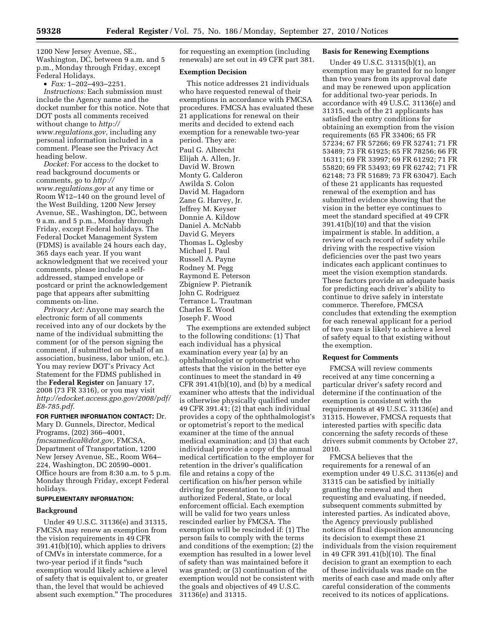1200 New Jersey Avenue, SE., Washington, DC, between 9 a.m. and 5 p.m., Monday through Friday, except Federal Holidays.

 $\bullet$  *Fax:* 1–202–493–2251.

*Instructions:* Each submission must include the Agency name and the docket number for this notice. Note that DOT posts all comments received without change to *[http://](http://www.regulations.gov) [www.regulations.gov,](http://www.regulations.gov)* including any personal information included in a comment. Please see the Privacy Act heading below.

*Docket:* For access to the docket to read background documents or comments, go to *[http://](http://www.regulations.gov) [www.regulations.gov](http://www.regulations.gov)* at any time or Room W12–140 on the ground level of the West Building, 1200 New Jersey Avenue, SE., Washington, DC, between 9 a.m. and 5 p.m., Monday through Friday, except Federal holidays. The Federal Docket Management System (FDMS) is available 24 hours each day, 365 days each year. If you want acknowledgment that we received your comments, please include a selfaddressed, stamped envelope or postcard or print the acknowledgement page that appears after submitting comments on-line.

*Privacy Act:* Anyone may search the electronic form of all comments received into any of our dockets by the name of the individual submitting the comment (or of the person signing the comment, if submitted on behalf of an association, business, labor union, etc.). You may review DOT's Privacy Act Statement for the FDMS published in the **Federal Register** on January 17, 2008 (73 FR 3316), or you may visit *[http://edocket.access.gpo.gov/2008/pdf/](http://edocket.access.gpo.gov/2008/pdf/E8-785.pdf) [E8-785.pdf.](http://edocket.access.gpo.gov/2008/pdf/E8-785.pdf)* 

**FOR FURTHER INFORMATION CONTACT:** Dr. Mary D. Gunnels, Director, Medical Programs, (202) 366–4001, *[fmcsamedical@dot.gov,](mailto:fmcsamedical@dot.gov)* FMCSA, Department of Transportation, 1200 New Jersey Avenue, SE., Room W64– 224, Washington, DC 20590–0001. Office hours are from 8:30 a.m. to 5 p.m. Monday through Friday, except Federal holidays.

### **SUPPLEMENTARY INFORMATION:**

#### **Background**

Under 49 U.S.C. 31136(e) and 31315, FMCSA may renew an exemption from the vision requirements in 49 CFR 391.41(b)(10), which applies to drivers of CMVs in interstate commerce, for a two-year period if it finds ''such exemption would likely achieve a level of safety that is equivalent to, or greater than, the level that would be achieved absent such exemption.'' The procedures for requesting an exemption (including renewals) are set out in 49 CFR part 381.

#### **Exemption Decision**

This notice addresses 21 individuals who have requested renewal of their exemptions in accordance with FMCSA procedures. FMCSA has evaluated these 21 applications for renewal on their merits and decided to extend each exemption for a renewable two-year period. They are: Paul G. Albrecht Elijah A. Allen, Jr. David W. Brown Monty G. Calderon Awilda S. Colon David M. Hagadorn Zane G. Harvey, Jr.

Jeffrey M. Keyser Donnie A. Kildow Daniel A. McNabb David G. Meyers Thomas L. Oglesby Michael J. Paul Russell A. Payne Rodney M. Pegg Raymond E. Peterson Zbigniew P. Pietranik John C. Rodriguez Terrance L. Trautman Charles E. Wood Joseph F. Wood

The exemptions are extended subject to the following conditions: (1) That each individual has a physical examination every year (a) by an ophthalmologist or optometrist who attests that the vision in the better eye continues to meet the standard in 49 CFR 391.41(b)(10), and (b) by a medical examiner who attests that the individual is otherwise physically qualified under 49 CFR 391.41; (2) that each individual provides a copy of the ophthalmologist's or optometrist's report to the medical examiner at the time of the annual medical examination; and (3) that each individual provide a copy of the annual medical certification to the employer for retention in the driver's qualification file and retains a copy of the certification on his/her person while driving for presentation to a duly authorized Federal, State, or local enforcement official. Each exemption will be valid for two years unless rescinded earlier by FMCSA. The exemption will be rescinded if: (1) The person fails to comply with the terms and conditions of the exemption; (2) the exemption has resulted in a lower level of safety than was maintained before it was granted; or (3) continuation of the exemption would not be consistent with the goals and objectives of 49 U.S.C. 31136(e) and 31315.

# **Basis for Renewing Exemptions**

Under 49 U.S.C. 31315(b)(1), an exemption may be granted for no longer than two years from its approval date and may be renewed upon application for additional two-year periods. In accordance with 49 U.S.C. 31136(e) and 31315, each of the 21 applicants has satisfied the entry conditions for obtaining an exemption from the vision requirements (65 FR 33406; 65 FR 57234; 67 FR 57266; 69 FR 52741; 71 FR 53489; 73 FR 61925; 65 FR 78256; 66 FR 16311; 69 FR 33997; 69 FR 61292; 71 FR 55820; 69 FR 53493; 69 FR 62742; 71 FR 62148; 73 FR 51689; 73 FR 63047). Each of these 21 applicants has requested renewal of the exemption and has submitted evidence showing that the vision in the better eye continues to meet the standard specified at 49 CFR 391.41(b)(10) and that the vision impairment is stable. In addition, a review of each record of safety while driving with the respective vision deficiencies over the past two years indicates each applicant continues to meet the vision exemption standards. These factors provide an adequate basis for predicting each driver's ability to continue to drive safely in interstate commerce. Therefore, FMCSA concludes that extending the exemption for each renewal applicant for a period of two years is likely to achieve a level of safety equal to that existing without the exemption.

#### **Request for Comments**

FMCSA will review comments received at any time concerning a particular driver's safety record and determine if the continuation of the exemption is consistent with the requirements at 49 U.S.C. 31136(e) and 31315. However, FMCSA requests that interested parties with specific data concerning the safety records of these drivers submit comments by October 27, 2010.

FMCSA believes that the requirements for a renewal of an exemption under 49 U.S.C. 31136(e) and 31315 can be satisfied by initially granting the renewal and then requesting and evaluating, if needed, subsequent comments submitted by interested parties. As indicated above, the Agency previously published notices of final disposition announcing its decision to exempt these 21 individuals from the vision requirement in 49 CFR 391.41(b)(10). The final decision to grant an exemption to each of these individuals was made on the merits of each case and made only after careful consideration of the comments received to its notices of applications.